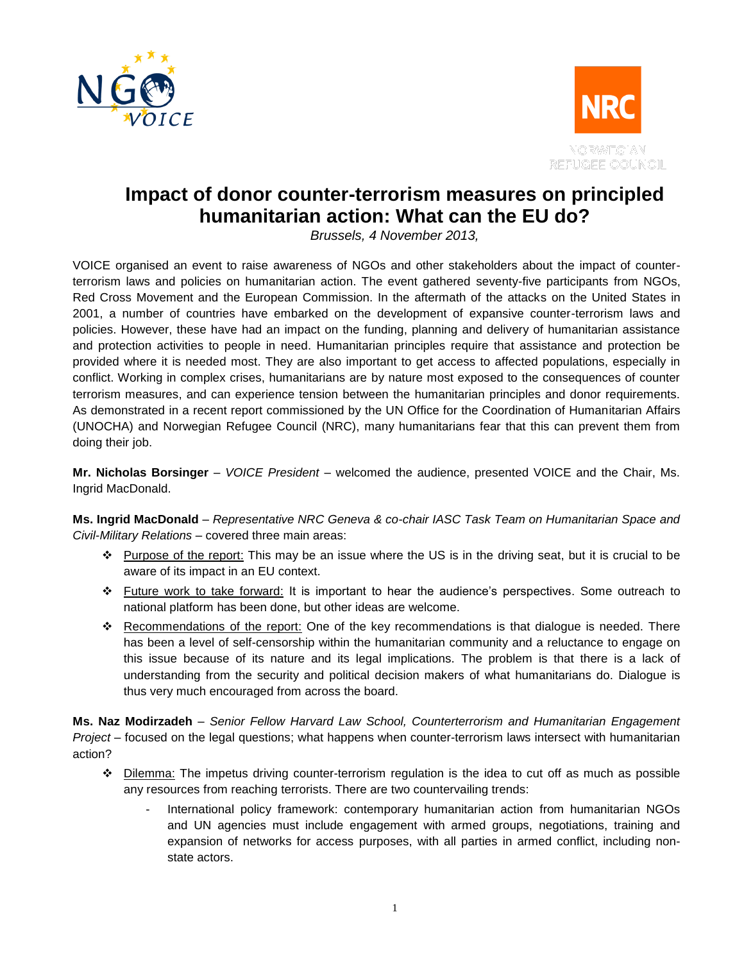



## **Impact of donor counter-terrorism measures on principled humanitarian action: What can the EU do?**

*Brussels, 4 November 2013,* 

VOICE organised an event to raise awareness of NGOs and other stakeholders about the impact of counterterrorism laws and policies on humanitarian action. The event gathered seventy-five participants from NGOs, Red Cross Movement and the European Commission. In the aftermath of the attacks on the United States in 2001, a number of countries have embarked on the development of expansive counter-terrorism laws and policies. However, these have had an impact on the funding, planning and delivery of humanitarian assistance and protection activities to people in need. Humanitarian principles require that assistance and protection be provided where it is needed most. They are also important to get access to affected populations, especially in conflict. Working in complex crises, humanitarians are by nature most exposed to the consequences of counter terrorism measures, and can experience tension between the humanitarian principles and donor requirements. As demonstrated in a recent report commissioned by the UN Office for the Coordination of Humanitarian Affairs (UNOCHA) and Norwegian Refugee Council (NRC), many humanitarians fear that this can prevent them from doing their job.

**Mr. Nicholas Borsinger** – *VOICE President* – welcomed the audience, presented VOICE and the Chair, Ms. Ingrid MacDonald.

**Ms. Ingrid MacDonald** – *Representative NRC Geneva & co-chair IASC Task Team on Humanitarian Space and Civil-Military Relations* – covered three main areas:

- ❖ Purpose of the report: This may be an issue where the US is in the driving seat, but it is crucial to be aware of its impact in an EU context.
- Future work to take forward: It is important to hear the audience's perspectives. Some outreach to national platform has been done, but other ideas are welcome.
- \* Recommendations of the report: One of the key recommendations is that dialogue is needed. There has been a level of self-censorship within the humanitarian community and a reluctance to engage on this issue because of its nature and its legal implications. The problem is that there is a lack of understanding from the security and political decision makers of what humanitarians do. Dialogue is thus very much encouraged from across the board.

**Ms. Naz Modirzadeh** – *Senior Fellow Harvard Law School, Counterterrorism and Humanitarian Engagement Project* – focused on the legal questions; what happens when counter-terrorism laws intersect with humanitarian action?

- ◆ Dilemma: The impetus driving counter-terrorism regulation is the idea to cut off as much as possible any resources from reaching terrorists. There are two countervailing trends:
	- International policy framework: contemporary humanitarian action from humanitarian NGOs and UN agencies must include engagement with armed groups, negotiations, training and expansion of networks for access purposes, with all parties in armed conflict, including nonstate actors.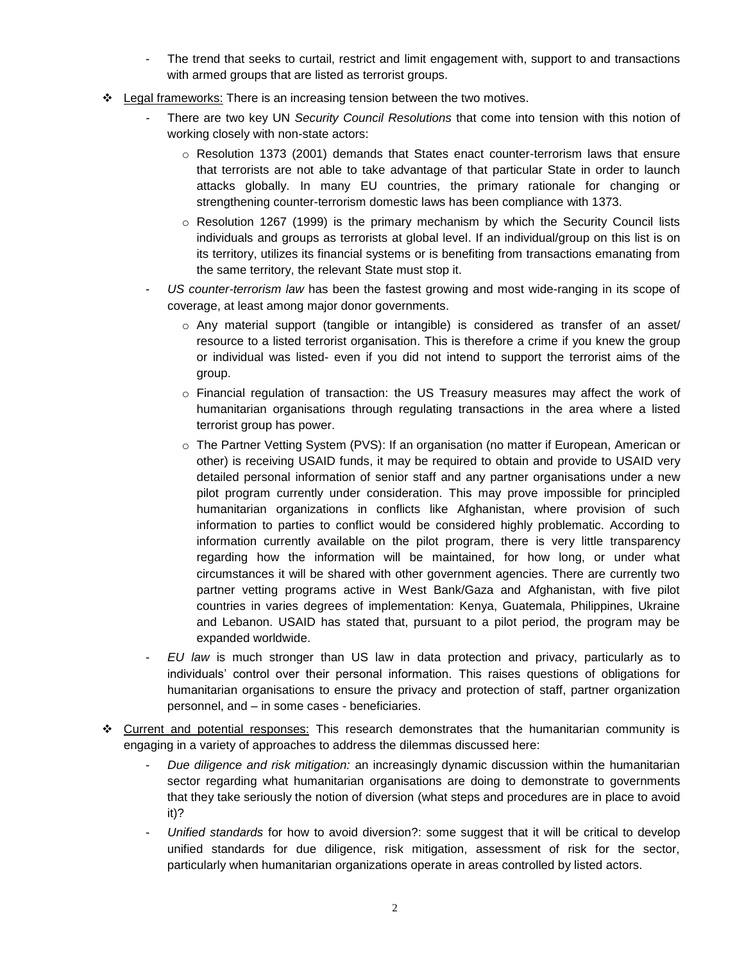- The trend that seeks to curtail, restrict and limit engagement with, support to and transactions with armed groups that are listed as terrorist groups.
- $\div$  Legal frameworks: There is an increasing tension between the two motives.
	- There are two key UN *Security Council Resolutions* that come into tension with this notion of working closely with non-state actors:
		- $\circ$  Resolution 1373 (2001) demands that States enact counter-terrorism laws that ensure that terrorists are not able to take advantage of that particular State in order to launch attacks globally. In many EU countries, the primary rationale for changing or strengthening counter-terrorism domestic laws has been compliance with 1373.
		- $\circ$  Resolution 1267 (1999) is the primary mechanism by which the Security Council lists individuals and groups as terrorists at global level. If an individual/group on this list is on its territory, utilizes its financial systems or is benefiting from transactions emanating from the same territory, the relevant State must stop it.
	- *US counter-terrorism law* has been the fastest growing and most wide-ranging in its scope of coverage, at least among major donor governments.
		- $\circ$  Any material support (tangible or intangible) is considered as transfer of an asset/ resource to a listed terrorist organisation. This is therefore a crime if you knew the group or individual was listed- even if you did not intend to support the terrorist aims of the group.
		- o Financial regulation of transaction: the US Treasury measures may affect the work of humanitarian organisations through regulating transactions in the area where a listed terrorist group has power.
		- o The Partner Vetting System (PVS): If an organisation (no matter if European, American or other) is receiving USAID funds, it may be required to obtain and provide to USAID very detailed personal information of senior staff and any partner organisations under a new pilot program currently under consideration. This may prove impossible for principled humanitarian organizations in conflicts like Afghanistan, where provision of such information to parties to conflict would be considered highly problematic. According to information currently available on the pilot program, there is very little transparency regarding how the information will be maintained, for how long, or under what circumstances it will be shared with other government agencies. There are currently two partner vetting programs active in West Bank/Gaza and Afghanistan, with five pilot countries in varies degrees of implementation: Kenya, Guatemala, Philippines, Ukraine and Lebanon. USAID has stated that, pursuant to a pilot period, the program may be expanded worldwide.
	- *EU law* is much stronger than US law in data protection and privacy, particularly as to individuals' control over their personal information. This raises questions of obligations for humanitarian organisations to ensure the privacy and protection of staff, partner organization personnel, and – in some cases - beneficiaries.
- Current and potential responses: This research demonstrates that the humanitarian community is engaging in a variety of approaches to address the dilemmas discussed here:
	- *Due diligence and risk mitigation:* an increasingly dynamic discussion within the humanitarian sector regarding what humanitarian organisations are doing to demonstrate to governments that they take seriously the notion of diversion (what steps and procedures are in place to avoid it)?
	- *Unified standards* for how to avoid diversion?: some suggest that it will be critical to develop unified standards for due diligence, risk mitigation, assessment of risk for the sector, particularly when humanitarian organizations operate in areas controlled by listed actors.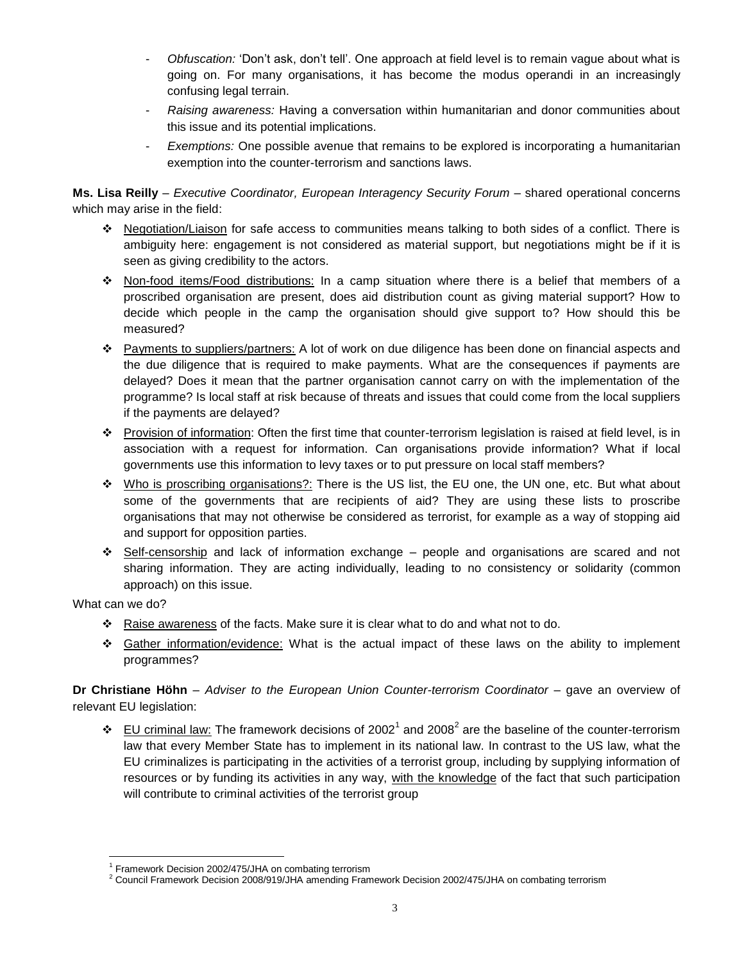- *Obfuscation:* 'Don't ask, don't tell'. One approach at field level is to remain vague about what is going on. For many organisations, it has become the modus operandi in an increasingly confusing legal terrain.
- *Raising awareness:* Having a conversation within humanitarian and donor communities about this issue and its potential implications.
- *Exemptions:* One possible avenue that remains to be explored is incorporating a humanitarian exemption into the counter-terrorism and sanctions laws.

**Ms. Lisa Reilly** – *Executive Coordinator, European Interagency Security Forum* – shared operational concerns which may arise in the field:

- Negotiation/Liaison for safe access to communities means talking to both sides of a conflict. There is ambiguity here: engagement is not considered as material support, but negotiations might be if it is seen as giving credibility to the actors.
- \* Non-food items/Food distributions: In a camp situation where there is a belief that members of a proscribed organisation are present, does aid distribution count as giving material support? How to decide which people in the camp the organisation should give support to? How should this be measured?
- Payments to suppliers/partners: A lot of work on due diligence has been done on financial aspects and the due diligence that is required to make payments. What are the consequences if payments are delayed? Does it mean that the partner organisation cannot carry on with the implementation of the programme? Is local staff at risk because of threats and issues that could come from the local suppliers if the payments are delayed?
- Provision of information: Often the first time that counter-terrorism legislation is raised at field level, is in association with a request for information. Can organisations provide information? What if local governments use this information to levy taxes or to put pressure on local staff members?
- Who is proscribing organisations?: There is the US list, the EU one, the UN one, etc. But what about some of the governments that are recipients of aid? They are using these lists to proscribe organisations that may not otherwise be considered as terrorist, for example as a way of stopping aid and support for opposition parties.
- Self-censorship and lack of information exchange people and organisations are scared and not sharing information. They are acting individually, leading to no consistency or solidarity (common approach) on this issue.

What can we do?

 $\overline{a}$ 

- Raise awareness of the facts. Make sure it is clear what to do and what not to do.
- Gather information/evidence: What is the actual impact of these laws on the ability to implement programmes?

**Dr Christiane Höhn** – *Adviser to the European Union Counter-terrorism Coordinator* – gave an overview of relevant EU legislation:

 $\cdot \cdot$  EU criminal law: The framework decisions of 2002<sup>1</sup> and 2008<sup>2</sup> are the baseline of the counter-terrorism law that every Member State has to implement in its national law. In contrast to the US law, what the EU criminalizes is participating in the activities of a terrorist group, including by supplying information of resources or by funding its activities in any way, with the knowledge of the fact that such participation will contribute to criminal activities of the terrorist group

<sup>&</sup>lt;sup>1</sup> Framework Decision 2002/475/JHA on combating terrorism

<sup>2</sup> Council Framework Decision 2008/919/JHA amending Framework Decision 2002/475/JHA on combating terrorism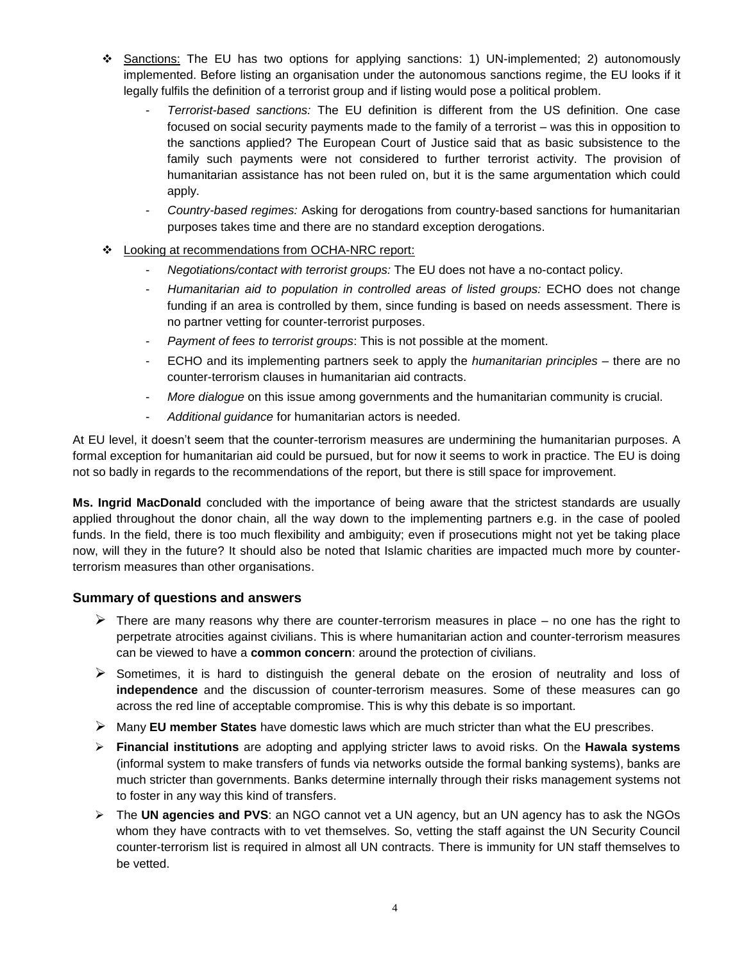- ❖ Sanctions: The EU has two options for applying sanctions: 1) UN-implemented; 2) autonomously implemented. Before listing an organisation under the autonomous sanctions regime, the EU looks if it legally fulfils the definition of a terrorist group and if listing would pose a political problem.
	- *Terrorist-based sanctions:* The EU definition is different from the US definition. One case focused on social security payments made to the family of a terrorist – was this in opposition to the sanctions applied? The European Court of Justice said that as basic subsistence to the family such payments were not considered to further terrorist activity. The provision of humanitarian assistance has not been ruled on, but it is the same argumentation which could apply.
	- *Country-based regimes:* Asking for derogations from country-based sanctions for humanitarian purposes takes time and there are no standard exception derogations.
- Looking at recommendations from OCHA-NRC report:
	- *Negotiations/contact with terrorist groups:* The EU does not have a no-contact policy.
	- *Humanitarian aid to population in controlled areas of listed groups:* ECHO does not change funding if an area is controlled by them, since funding is based on needs assessment. There is no partner vetting for counter-terrorist purposes.
	- Payment of fees to terrorist groups: This is not possible at the moment.
	- ECHO and its implementing partners seek to apply the *humanitarian principles* there are no counter-terrorism clauses in humanitarian aid contracts.
	- *More dialogue* on this issue among governments and the humanitarian community is crucial.
	- *Additional guidance* for humanitarian actors is needed.

At EU level, it doesn't seem that the counter-terrorism measures are undermining the humanitarian purposes. A formal exception for humanitarian aid could be pursued, but for now it seems to work in practice. The EU is doing not so badly in regards to the recommendations of the report, but there is still space for improvement.

**Ms. Ingrid MacDonald** concluded with the importance of being aware that the strictest standards are usually applied throughout the donor chain, all the way down to the implementing partners e.g. in the case of pooled funds. In the field, there is too much flexibility and ambiguity; even if prosecutions might not yet be taking place now, will they in the future? It should also be noted that Islamic charities are impacted much more by counterterrorism measures than other organisations.

## **Summary of questions and answers**

- $\triangleright$  There are many reasons why there are counter-terrorism measures in place no one has the right to perpetrate atrocities against civilians. This is where humanitarian action and counter-terrorism measures can be viewed to have a **common concern**: around the protection of civilians.
- $\triangleright$  Sometimes, it is hard to distinguish the general debate on the erosion of neutrality and loss of **independence** and the discussion of counter-terrorism measures. Some of these measures can go across the red line of acceptable compromise. This is why this debate is so important.
- Many **EU member States** have domestic laws which are much stricter than what the EU prescribes.
- **Financial institutions** are adopting and applying stricter laws to avoid risks. On the **Hawala systems** (informal system to make transfers of funds via networks outside the formal banking systems), banks are much stricter than governments. Banks determine internally through their risks management systems not to foster in any way this kind of transfers.
- The **UN agencies and PVS**: an NGO cannot vet a UN agency, but an UN agency has to ask the NGOs whom they have contracts with to vet themselves. So, vetting the staff against the UN Security Council counter-terrorism list is required in almost all UN contracts. There is immunity for UN staff themselves to be vetted.